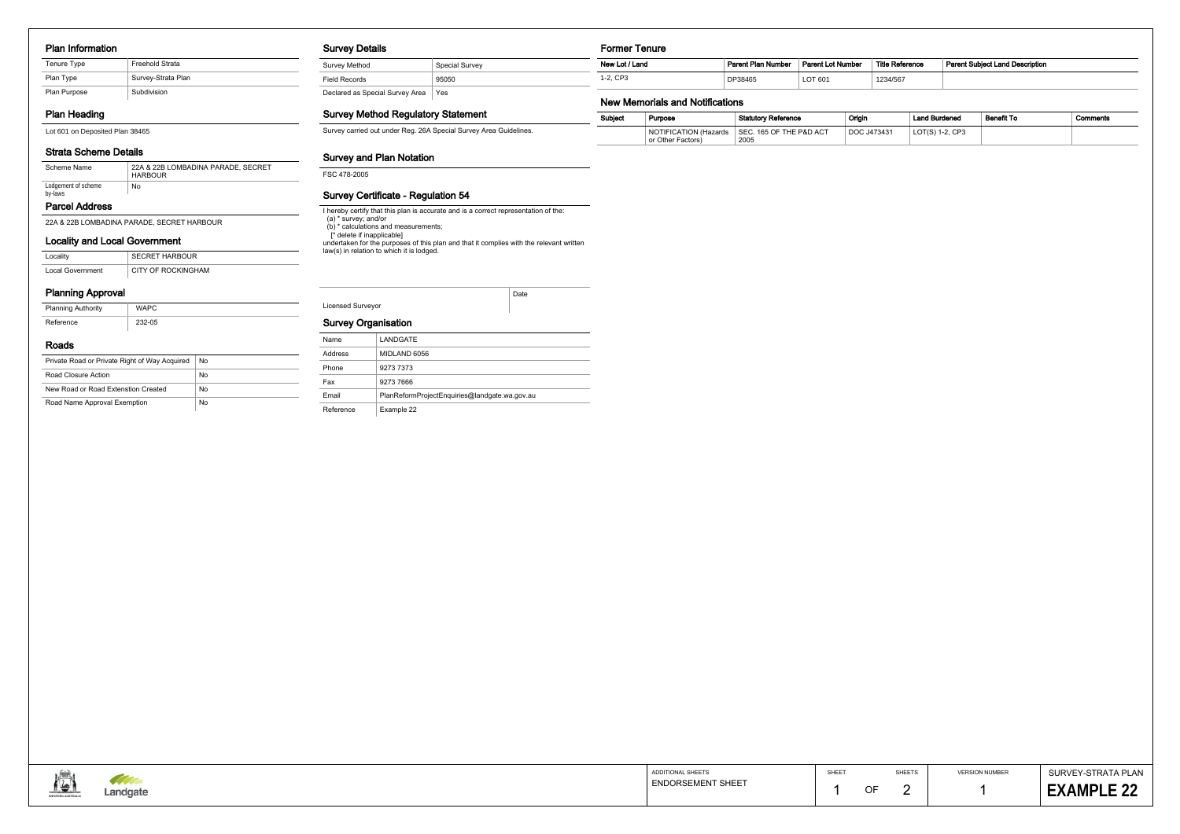#### Plan Information

# Plan Heading

# Strata Scheme Details

### Locality and Local Government

| Locality         | <b>SECRET HARBOUR</b> |
|------------------|-----------------------|
| Local Government | CITY OF ROCKINGHAM    |

### Planning Approval

| <b>Planning Authority</b> | <b>WAPC</b> |
|---------------------------|-------------|
| Reference                 | 232-05      |

#### Roads

| Private Road or Private Right of Way Acquired | No |
|-----------------------------------------------|----|
| Road Closure Action                           | No |
| New Road or Road Extenstion Created           | No |
| Road Name Approval Exemption                  | No |

### Survey Details

| Survey Method                   | <b>Special Survey</b> |
|---------------------------------|-----------------------|
| <b>Field Records</b>            | 95050                 |
| Declared as Special Survey Area | Yes                   |

### Survey Method Regulatory Statement

Survey carried out under Reg. 26A Special Survey Area Guidelines.

### Survey and Plan Notation

FSC 478-2005

### Survey Certificate - Regulation 54

I hereby certify that this plan is accurate and is a correct representation of the:

(a) \* survey; and/or

(b) \* calculations and measurements;

| Scheme Name                    | 22A & 22B LOMBADINA PARADE, SECRET<br><b>HARBOUR</b> |  |  |
|--------------------------------|------------------------------------------------------|--|--|
| Lodgement of scheme<br>by-laws | No                                                   |  |  |

 [\* delete if inapplicable] undertaken for the purposes of this plan and that it complies with the relevant written law(s) in relation to which it is lodged.

|                          | Date |
|--------------------------|------|
| <b>Licensed Surveyor</b> |      |

# Survey Organisation

### Former Tenure

# New Memorials and Notifications

| Subiect | Purpose                                    | <b>Statutory Reference</b>      | Origin      | <b>Land Burdened</b> | <b>Benefit To</b> | Comments |
|---------|--------------------------------------------|---------------------------------|-------------|----------------------|-------------------|----------|
|         | NOTIFICATION (Hazards<br>or Other Factors) | SEC. 165 OF THE P&D ACT<br>2005 | DOC J473431 | $LOT(S)$ 1-2, $CP3$  |                   |          |



| New Lot / Land       | Parent Plan Number | <b>Parent Lot Number</b> | <b>Title Reference</b> | <b>Parent Subiect Land Description</b> |
|----------------------|--------------------|--------------------------|------------------------|----------------------------------------|
| CP <sub>3</sub><br>ົ | DP38465            | LOT 601                  | 1234/567               |                                        |

SHEET

22A & 22B LOMBADINA PARADE, SECRET HARBOUR

### Parcel Address

Lot 601 on Deposited Plan 38465

| Name         | LANDGATE                                      |
|--------------|-----------------------------------------------|
| Address      | MIDLAND 6056                                  |
| Phone        | 9273 7373                                     |
| Fax          | 9273 7666                                     |
| <b>Fmail</b> | PlanReformProjectEnquiries@landgate.wa.gov.au |
| Reference    | Example 22                                    |

| Tenure Type  | <b>Freehold Strata</b> |
|--------------|------------------------|
| Plan Type    | Survey-Strata Plan     |
| Plan Purpose | Subdivision            |